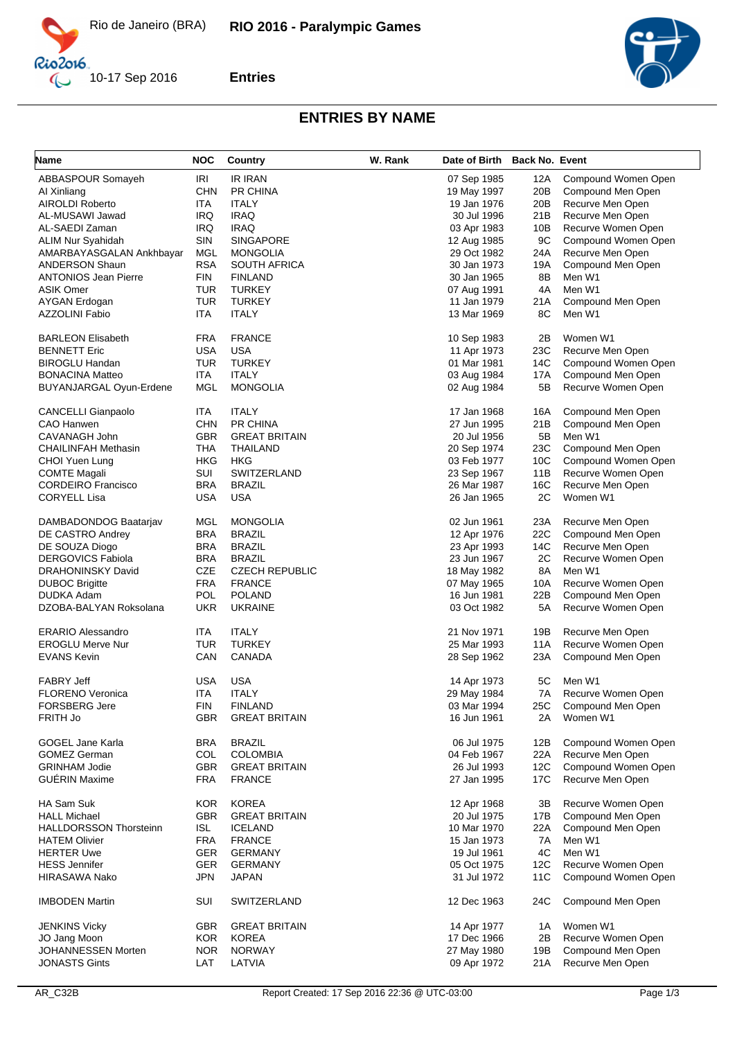

Rio2016  $\mathbb{C}$ 





## **ENTRIES BY NAME**

| <b>Name</b>                          | <b>NOC</b> | Country                  | W. Rank | Date of Birth Back No. Event |           |                                         |
|--------------------------------------|------------|--------------------------|---------|------------------------------|-----------|-----------------------------------------|
| ABBASPOUR Somayeh                    | <b>IRI</b> | IR IRAN                  |         | 07 Sep 1985                  | 12A       | Compound Women Open                     |
| Al Xinliang                          | <b>CHN</b> | PR CHINA                 |         | 19 May 1997                  | 20B       | Compound Men Open                       |
| <b>AIROLDI Roberto</b>               | ITA        | <b>ITALY</b>             |         | 19 Jan 1976                  | 20B       | Recurve Men Open                        |
| AL-MUSAWI Jawad                      | <b>IRQ</b> | <b>IRAQ</b>              |         | 30 Jul 1996                  | 21B       | Recurve Men Open                        |
| AL-SAEDI Zaman                       | <b>IRQ</b> | <b>IRAQ</b>              |         | 03 Apr 1983                  | 10B       | Recurve Women Open                      |
| ALIM Nur Syahidah                    | SIN        | <b>SINGAPORE</b>         |         | 12 Aug 1985                  | 9C        | Compound Women Open                     |
| AMARBAYASGALAN Ankhbayar             | <b>MGL</b> | <b>MONGOLIA</b>          |         | 29 Oct 1982                  | 24A       | Recurve Men Open                        |
| <b>ANDERSON Shaun</b>                | <b>RSA</b> | SOUTH AFRICA             |         | 30 Jan 1973                  | 19A       | Compound Men Open                       |
| <b>ANTONIOS Jean Pierre</b>          | <b>FIN</b> |                          |         |                              |           |                                         |
|                                      |            | <b>FINLAND</b>           |         | 30 Jan 1965                  | 8B        | Men W1                                  |
| <b>ASIK Omer</b>                     | <b>TUR</b> | <b>TURKEY</b>            |         | 07 Aug 1991                  | 4A        | Men W1                                  |
| <b>AYGAN Erdogan</b>                 | TUR        | <b>TURKEY</b>            |         | 11 Jan 1979                  | 21A       | Compound Men Open                       |
| <b>AZZOLINI Fabio</b>                | ITA        | <b>ITALY</b>             |         | 13 Mar 1969                  | 8C        | Men W1                                  |
| <b>BARLEON Elisabeth</b>             | <b>FRA</b> | <b>FRANCE</b>            |         | 10 Sep 1983                  | 2Β        | Women W1                                |
| <b>BENNETT Eric</b>                  | <b>USA</b> | <b>USA</b>               |         | 11 Apr 1973                  | 23C       | Recurve Men Open                        |
| <b>BIROGLU Handan</b>                | TUR        | <b>TURKEY</b>            |         | 01 Mar 1981                  | 14C       | Compound Women Open                     |
| <b>BONACINA Matteo</b>               | ITA        | <b>ITALY</b>             |         | 03 Aug 1984                  | 17A       | Compound Men Open                       |
| BUYANJARGAL Oyun-Erdene              | <b>MGL</b> | <b>MONGOLIA</b>          |         | 02 Aug 1984                  | 5B        | Recurve Women Open                      |
| <b>CANCELLI Gianpaolo</b>            | <b>ITA</b> | <b>ITALY</b>             |         | 17 Jan 1968                  | 16A       | Compound Men Open                       |
| CAO Hanwen                           | <b>CHN</b> | PR CHINA                 |         | 27 Jun 1995                  | 21B       | Compound Men Open                       |
| CAVANAGH John                        | <b>GBR</b> | <b>GREAT BRITAIN</b>     |         | 20 Jul 1956                  | 5Β        | Men W1                                  |
| CHAILINFAH Methasin                  | <b>THA</b> | THAILAND                 |         | 20 Sep 1974                  | 23C       | Compound Men Open                       |
| CHOI Yuen Lung                       | HKG        | HKG                      |         | 03 Feb 1977                  | 10C       | Compound Women Open                     |
| COMTE Magali                         | SUI        | SWITZERLAND              |         | 23 Sep 1967                  | 11B       | Recurve Women Open                      |
| <b>CORDEIRO Francisco</b>            | <b>BRA</b> | <b>BRAZIL</b>            |         | 26 Mar 1987                  | 16C       | Recurve Men Open                        |
| <b>CORYELL Lisa</b>                  | <b>USA</b> | <b>USA</b>               |         | 26 Jan 1965                  | 2C        | Women W1                                |
| DAMBADONDOG Baatarjav                | MGL        | <b>MONGOLIA</b>          |         | 02 Jun 1961                  | 23A       | Recurve Men Open                        |
| DE CASTRO Andrey                     | <b>BRA</b> | <b>BRAZIL</b>            |         | 12 Apr 1976                  | 22C       | Compound Men Open                       |
| DE SOUZA Diogo                       | <b>BRA</b> | <b>BRAZIL</b>            |         | 23 Apr 1993                  | 14C       | Recurve Men Open                        |
| <b>DERGOVICS Fabiola</b>             | <b>BRA</b> | <b>BRAZIL</b>            |         | 23 Jun 1967                  | 2C        | Recurve Women Open                      |
| DRAHONINSKY David                    | CZE        | <b>CZECH REPUBLIC</b>    |         | 18 May 1982                  | 8A        | Men W1                                  |
|                                      | <b>FRA</b> |                          |         |                              |           |                                         |
| <b>DUBOC Brigitte</b>                | POL        | <b>FRANCE</b>            |         | 07 May 1965                  | 10A       | Recurve Women Open                      |
| DUDKA Adam<br>DZOBA-BALYAN Roksolana | <b>UKR</b> | POLAND<br><b>UKRAINE</b> |         | 16 Jun 1981<br>03 Oct 1982   | 22B<br>5A | Compound Men Open<br>Recurve Women Open |
|                                      |            |                          |         |                              |           |                                         |
| <b>ERARIO Alessandro</b>             | ITA        | <b>ITALY</b>             |         | 21 Nov 1971                  | 19B       | Recurve Men Open                        |
| <b>EROGLU Merve Nur</b>              | <b>TUR</b> | <b>TURKEY</b>            |         | 25 Mar 1993                  | 11A       | Recurve Women Open                      |
| <b>EVANS Kevin</b>                   | CAN        | CANADA                   |         | 28 Sep 1962                  | 23A       | Compound Men Open                       |
| <b>FABRY Jeff</b>                    | <b>USA</b> | <b>USA</b>               |         | 14 Apr 1973                  | 5C        | Men W1                                  |
| <b>FLORENO Veronica</b>              | <b>ITA</b> | <b>ITALY</b>             |         | 29 May 1984                  | 7A        | Recurve Women Open                      |
| <b>FORSBERG Jere</b>                 | <b>FIN</b> | <b>FINLAND</b>           |         | 03 Mar 1994                  | 25C       | Compound Men Open                       |
| FRITH Jo                             | <b>GBR</b> | <b>GREAT BRITAIN</b>     |         | 16 Jun 1961                  | 2A        | Women W1                                |
|                                      |            |                          |         |                              |           |                                         |
| <b>GOGEL Jane Karla</b>              | <b>BRA</b> | <b>BRAZIL</b>            |         | 06 Jul 1975                  | 12B       | Compound Women Open                     |
| <b>GOMEZ German</b>                  | <b>COL</b> | <b>COLOMBIA</b>          |         | 04 Feb 1967                  | 22A       | Recurve Men Open                        |
| <b>GRINHAM Jodie</b>                 | <b>GBR</b> | <b>GREAT BRITAIN</b>     |         | 26 Jul 1993                  | 12C       | Compound Women Open                     |
| <b>GUÉRIN Maxime</b>                 | <b>FRA</b> | <b>FRANCE</b>            |         | 27 Jan 1995                  | 17C       | Recurve Men Open                        |
| HA Sam Suk                           | <b>KOR</b> | <b>KOREA</b>             |         | 12 Apr 1968                  | 3B        | Recurve Women Open                      |
| <b>HALL Michael</b>                  | <b>GBR</b> | <b>GREAT BRITAIN</b>     |         | 20 Jul 1975                  | 17B       | Compound Men Open                       |
| <b>HALLDORSSON Thorsteinn</b>        | <b>ISL</b> | <b>ICELAND</b>           |         | 10 Mar 1970                  | 22A       | Compound Men Open                       |
| <b>HATEM Olivier</b>                 | <b>FRA</b> | <b>FRANCE</b>            |         | 15 Jan 1973                  | 7A        | Men W1                                  |
| <b>HERTER Uwe</b>                    | GER        | <b>GERMANY</b>           |         | 19 Jul 1961                  | 4C        | Men W1                                  |
| <b>HESS Jennifer</b>                 | <b>GER</b> | <b>GERMANY</b>           |         | 05 Oct 1975                  | 12C       | Recurve Women Open                      |
|                                      | <b>JPN</b> |                          |         |                              |           |                                         |
| HIRASAWA Nako                        |            | JAPAN                    |         | 31 Jul 1972                  | 11C       | Compound Women Open                     |
| <b>IMBODEN Martin</b>                | SUI        | SWITZERLAND              |         | 12 Dec 1963                  | 24C       | Compound Men Open                       |
| <b>JENKINS Vicky</b>                 | <b>GBR</b> | <b>GREAT BRITAIN</b>     |         | 14 Apr 1977                  | 1A        | Women W1                                |
| JO Jang Moon                         | <b>KOR</b> | <b>KOREA</b>             |         | 17 Dec 1966                  | 2Β        | Recurve Women Open                      |
| JOHANNESSEN Morten                   | NOR.       | <b>NORWAY</b>            |         | 27 May 1980                  | 19B       | Compound Men Open                       |
| <b>JONASTS Gints</b>                 | LAT        | LATVIA                   |         | 09 Apr 1972                  | 21 A      | Recurve Men Open                        |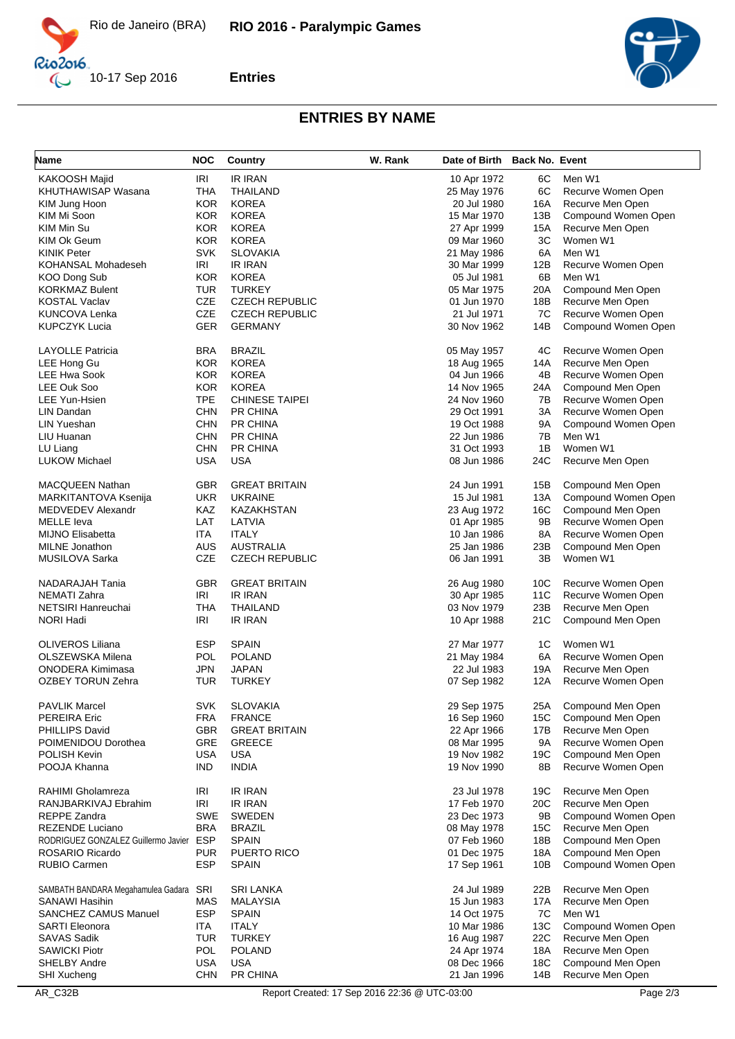



**Entries**



## **ENTRIES BY NAME**

| Name                                    | <b>NOC</b> | Country               | W. Rank | Date of Birth Back No. Event |     |                     |
|-----------------------------------------|------------|-----------------------|---------|------------------------------|-----|---------------------|
| <b>KAKOOSH Majid</b>                    | IRI        | <b>IR IRAN</b>        |         | 10 Apr 1972                  | 6C  | Men W1              |
| KHUTHAWISAP Wasana                      | <b>THA</b> | THAILAND              |         | 25 May 1976                  | 6C  | Recurve Women Open  |
| KIM Jung Hoon                           | <b>KOR</b> | <b>KOREA</b>          |         | 20 Jul 1980                  | 16A | Recurve Men Open    |
| KIM Mi Soon                             | <b>KOR</b> | <b>KOREA</b>          |         | 15 Mar 1970                  | 13B | Compound Women Open |
| KIM Min Su                              | <b>KOR</b> | <b>KOREA</b>          |         | 27 Apr 1999                  | 15A | Recurve Men Open    |
| KIM Ok Geum                             | <b>KOR</b> | <b>KOREA</b>          |         | 09 Mar 1960                  | 3C  | Women W1            |
| <b>KINIK Peter</b>                      | <b>SVK</b> | <b>SLOVAKIA</b>       |         | 21 May 1986                  | 6A  | Men W1              |
| KOHANSAL Mohadeseh                      | IRI        | <b>IR IRAN</b>        |         | 30 Mar 1999                  | 12B | Recurve Women Open  |
| KOO Dong Sub                            | <b>KOR</b> | <b>KOREA</b>          |         | 05 Jul 1981                  | 6B  | Men W1              |
| <b>KORKMAZ Bulent</b>                   | <b>TUR</b> | <b>TURKEY</b>         |         | 05 Mar 1975                  | 20A | Compound Men Open   |
| <b>KOSTAL Vaclav</b>                    | <b>CZE</b> | <b>CZECH REPUBLIC</b> |         | 01 Jun 1970                  | 18B | Recurve Men Open    |
| KUNCOVA Lenka                           | CZE        | <b>CZECH REPUBLIC</b> |         | 21 Jul 1971                  | 7C  | Recurve Women Open  |
| <b>KUPCZYK Lucia</b>                    | <b>GER</b> | <b>GERMANY</b>        |         | 30 Nov 1962                  | 14B | Compound Women Open |
|                                         |            |                       |         |                              |     |                     |
| <b>LAYOLLE Patricia</b>                 | <b>BRA</b> | <b>BRAZIL</b>         |         | 05 May 1957                  | 4C  | Recurve Women Open  |
| LEE Hong Gu                             | <b>KOR</b> | <b>KOREA</b>          |         | 18 Aug 1965                  | 14A | Recurve Men Open    |
| <b>LEE Hwa Sook</b>                     | <b>KOR</b> | <b>KOREA</b>          |         | 04 Jun 1966                  | 4B  | Recurve Women Open  |
| LEE Ouk Soo                             | <b>KOR</b> | <b>KOREA</b>          |         | 14 Nov 1965                  | 24A | Compound Men Open   |
| LEE Yun-Hsien                           | <b>TPE</b> | <b>CHINESE TAIPEI</b> |         | 24 Nov 1960                  | 7В  | Recurve Women Open  |
| LIN Dandan                              | <b>CHN</b> | PR CHINA              |         | 29 Oct 1991                  | 3A  | Recurve Women Open  |
| <b>LIN Yueshan</b>                      | <b>CHN</b> | PR CHINA              |         | 19 Oct 1988                  | 9A  | Compound Women Open |
| LIU Huanan                              | <b>CHN</b> | PR CHINA              |         | 22 Jun 1986                  | 7В  | Men W1              |
| LU Liang                                | <b>CHN</b> | PR CHINA              |         | 31 Oct 1993                  | 1B  | Women W1            |
| <b>LUKOW Michael</b>                    | <b>USA</b> | <b>USA</b>            |         | 08 Jun 1986                  | 24C | Recurve Men Open    |
| <b>MACQUEEN Nathan</b>                  | <b>GBR</b> | <b>GREAT BRITAIN</b>  |         | 24 Jun 1991                  | 15B | Compound Men Open   |
| MARKITANTOVA Ksenija                    | <b>UKR</b> | <b>UKRAINE</b>        |         | 15 Jul 1981                  | 13A | Compound Women Open |
| MEDVEDEV Alexandr                       | KAZ        | KAZAKHSTAN            |         | 23 Aug 1972                  | 16C | Compound Men Open   |
| <b>MELLE</b> leva                       | LAT        | LATVIA                |         | 01 Apr 1985                  | 9Β  | Recurve Women Open  |
| <b>MIJNO Elisabetta</b>                 | ITA        | <b>ITALY</b>          |         | 10 Jan 1986                  | 8A  | Recurve Women Open  |
| <b>MILNE</b> Jonathon                   | <b>AUS</b> | AUSTRALIA             |         | 25 Jan 1986                  | 23B | Compound Men Open   |
| MUSILOVA Sarka                          | <b>CZE</b> | <b>CZECH REPUBLIC</b> |         | 06 Jan 1991                  | 3B  | Women W1            |
|                                         |            |                       |         |                              |     |                     |
| NADARAJAH Tania                         | <b>GBR</b> | <b>GREAT BRITAIN</b>  |         | 26 Aug 1980                  | 10C | Recurve Women Open  |
| <b>NEMATI Zahra</b>                     | IRI        | <b>IR IRAN</b>        |         | 30 Apr 1985                  | 11C | Recurve Women Open  |
| NETSIRI Hanreuchai                      | <b>THA</b> | THAILAND              |         | 03 Nov 1979                  | 23B | Recurve Men Open    |
| <b>NORI Hadi</b>                        | IRI        | <b>IR IRAN</b>        |         | 10 Apr 1988                  | 21C | Compound Men Open   |
| OLIVEROS Liliana                        | <b>ESP</b> | <b>SPAIN</b>          |         | 27 Mar 1977                  | 1C  | Women W1            |
| OLSZEWSKA Milena                        | <b>POL</b> | <b>POLAND</b>         |         | 21 May 1984                  | 6A  | Recurve Women Open  |
| <b>ONODERA Kimimasa</b>                 | <b>JPN</b> | <b>JAPAN</b>          |         | 22 Jul 1983                  | 19A | Recurve Men Open    |
| <b>OZBEY TORUN Zehra</b>                | TUR        | <b>TURKEY</b>         |         | 07 Sep 1982                  | 12A | Recurve Women Open  |
| <b>PAVLIK Marcel</b>                    | <b>SVK</b> | <b>SLOVAKIA</b>       |         | 29 Sep 1975                  | 25A | Compound Men Open   |
| PEREIRA Eric                            | <b>FRA</b> | <b>FRANCE</b>         |         | 16 Sep 1960                  | 15C | Compound Men Open   |
| PHILLIPS David                          | GBR        | <b>GREAT BRITAIN</b>  |         | 22 Apr 1966                  | 17B | Recurve Men Open    |
| POIMENIDOU Dorothea                     | GRE        | <b>GREECE</b>         |         | 08 Mar 1995                  | 9A  | Recurve Women Open  |
| POLISH Kevin                            | <b>USA</b> | <b>USA</b>            |         | 19 Nov 1982                  | 19C | Compound Men Open   |
| POOJA Khanna                            | <b>IND</b> | <b>INDIA</b>          |         | 19 Nov 1990                  | 8Β  | Recurve Women Open  |
| RAHIMI Gholamreza                       | IRI        | IR IRAN               |         | 23 Jul 1978                  | 19C | Recurve Men Open    |
| RANJBARKIVAJ Ebrahim                    | <b>IRI</b> | IR IRAN               |         | 17 Feb 1970                  | 20C | Recurve Men Open    |
| REPPE Zandra                            | SWE        | <b>SWEDEN</b>         |         | 23 Dec 1973                  |     | Compound Women Open |
|                                         |            |                       |         |                              | 9Β  |                     |
| REZENDE Luciano                         | <b>BRA</b> | <b>BRAZIL</b>         |         | 08 May 1978                  | 15C | Recurve Men Open    |
| RODRIGUEZ GONZALEZ Guillermo Javier ESP |            | <b>SPAIN</b>          |         | 07 Feb 1960                  | 18B | Compound Men Open   |
| ROSARIO Ricardo                         | <b>PUR</b> | PUERTO RICO           |         | 01 Dec 1975                  | 18A | Compound Men Open   |
| RUBIO Carmen                            | <b>ESP</b> | <b>SPAIN</b>          |         | 17 Sep 1961                  | 10B | Compound Women Open |
| SAMBATH BANDARA Megahamulea Gadara SRI  |            | SRI LANKA             |         | 24 Jul 1989                  | 22B | Recurve Men Open    |
| SANAWI Hasihin                          | <b>MAS</b> | <b>MALAYSIA</b>       |         | 15 Jun 1983                  | 17A | Recurve Men Open    |
| <b>SANCHEZ CAMUS Manuel</b>             | <b>ESP</b> | <b>SPAIN</b>          |         | 14 Oct 1975                  | 7C  | Men W1              |
| SARTI Eleonora                          | <b>ITA</b> | <b>ITALY</b>          |         | 10 Mar 1986                  | 13C | Compound Women Open |
| <b>SAVAS Sadik</b>                      | <b>TUR</b> | <b>TURKEY</b>         |         | 16 Aug 1987                  | 22C | Recurve Men Open    |
| <b>SAWICKI Piotr</b>                    | POL        | <b>POLAND</b>         |         | 24 Apr 1974                  | 18A | Recurve Men Open    |
| SHELBY Andre                            | <b>USA</b> | <b>USA</b>            |         | 08 Dec 1966                  | 18C | Compound Men Open   |
| SHI Xucheng                             | <b>CHN</b> | PR CHINA              |         | 21 Jan 1996                  | 14B | Recurve Men Open    |
|                                         |            |                       |         |                              |     |                     |